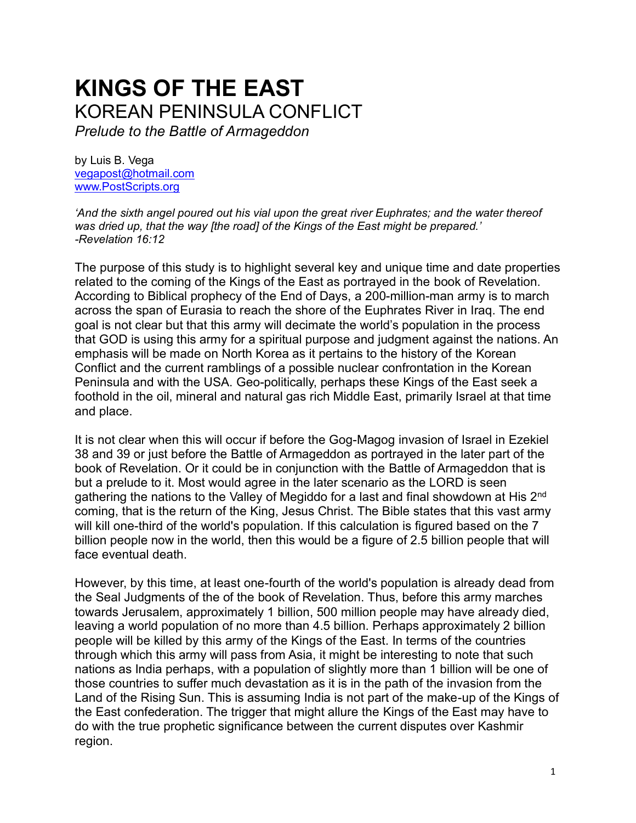# **KINGS OF THE EAST** KOREAN PENINSULA CONFLICT

*Prelude to the Battle of Armageddon*

by Luis B. Vega [vegapost@hotmail.com](mailto:vegapost@hotmail.com) [www.PostScripts.org](http://www.postscripts.org/)

*'And the sixth angel poured out his vial upon the great river Euphrates; and the water thereof was dried up, that the way [the road] of the Kings of the East might be prepared.' -Revelation 16:12*

The purpose of this study is to highlight several key and unique time and date properties related to the coming of the Kings of the East as portrayed in the book of Revelation. According to Biblical prophecy of the End of Days, a 200-million-man army is to march across the span of Eurasia to reach the shore of the Euphrates River in Iraq. The end goal is not clear but that this army will decimate the world's population in the process that GOD is using this army for a spiritual purpose and judgment against the nations. An emphasis will be made on North Korea as it pertains to the history of the Korean Conflict and the current ramblings of a possible nuclear confrontation in the Korean Peninsula and with the USA. Geo-politically, perhaps these Kings of the East seek a foothold in the oil, mineral and natural gas rich Middle East, primarily Israel at that time and place.

It is not clear when this will occur if before the Gog-Magog invasion of Israel in Ezekiel 38 and 39 or just before the Battle of Armageddon as portrayed in the later part of the book of Revelation. Or it could be in conjunction with the Battle of Armageddon that is but a prelude to it. Most would agree in the later scenario as the LORD is seen gathering the nations to the Valley of Megiddo for a last and final showdown at His 2<sup>nd</sup> coming, that is the return of the King, Jesus Christ. The Bible states that this vast army will kill one-third of the world's population. If this calculation is figured based on the 7 billion people now in the world, then this would be a figure of 2.5 billion people that will face eventual death.

However, by this time, at least one-fourth of the world's population is already dead from the Seal Judgments of the of the book of Revelation. Thus, before this army marches towards Jerusalem, approximately 1 billion, 500 million people may have already died, leaving a world population of no more than 4.5 billion. Perhaps approximately 2 billion people will be killed by this army of the Kings of the East. In terms of the countries through which this army will pass from Asia, it might be interesting to note that such nations as India perhaps, with a population of slightly more than 1 billion will be one of those countries to suffer much devastation as it is in the path of the invasion from the Land of the Rising Sun. This is assuming India is not part of the make-up of the Kings of the East confederation. The trigger that might allure the Kings of the East may have to do with the true prophetic significance between the current disputes over Kashmir region.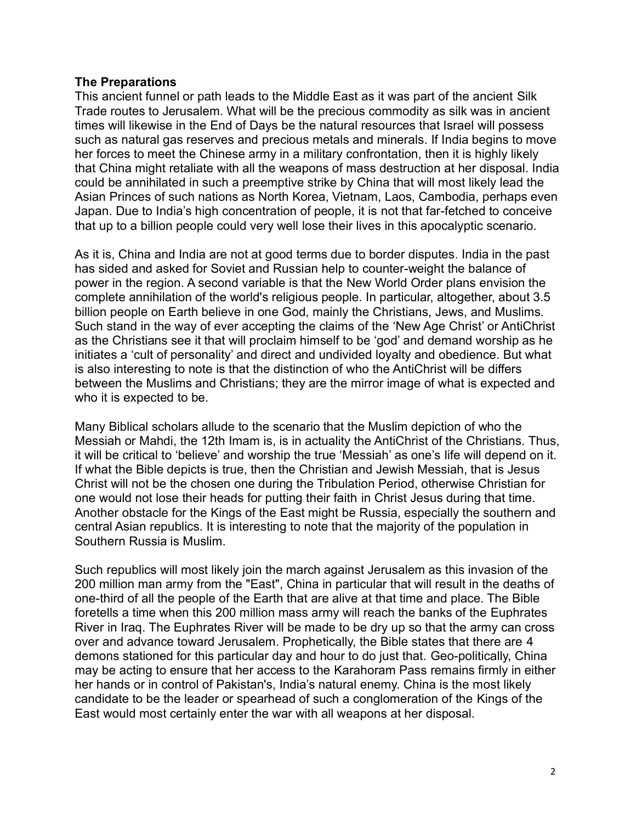## **The Preparations**

This ancient funnel or path leads to the Middle East as it was part of the ancient Silk Trade routes to Jerusalem. What will be the precious commodity as silk was in ancient times will likewise in the End of Days be the natural resources that Israel will possess such as natural gas reserves and precious metals and minerals. If India begins to move her forces to meet the Chinese army in a military confrontation, then it is highly likely that China might retaliate with all the weapons of mass destruction at her disposal. India could be annihilated in such a preemptive strike by China that will most likely lead the Asian Princes of such nations as North Korea, Vietnam, Laos, Cambodia, perhaps even Japan. Due to India's high concentration of people, it is not that far-fetched to conceive that up to a billion people could very well lose their lives in this apocalyptic scenario.

As it is, China and India are not at good terms due to border disputes. India in the past has sided and asked for Soviet and Russian help to counter-weight the balance of power in the region. A second variable is that the New World Order plans envision the complete annihilation of the world's religious people. In particular, altogether, about 3.5 billion people on Earth believe in one God, mainly the Christians, Jews, and Muslims. Such stand in the way of ever accepting the claims of the 'New Age Christ' or AntiChrist as the Christians see it that will proclaim himself to be 'god' and demand worship as he initiates a 'cult of personality' and direct and undivided loyalty and obedience. But what is also interesting to note is that the distinction of who the AntiChrist will be differs between the Muslims and Christians; they are the mirror image of what is expected and who it is expected to be.

Many Biblical scholars allude to the scenario that the Muslim depiction of who the Messiah or Mahdi, the 12th Imam is, is in actuality the AntiChrist of the Christians. Thus, it will be critical to 'believe' and worship the true 'Messiah' as one's life will depend on it. If what the Bible depicts is true, then the Christian and Jewish Messiah, that is Jesus Christ will not be the chosen one during the Tribulation Period, otherwise Christian for one would not lose their heads for putting their faith in Christ Jesus during that time. Another obstacle for the Kings of the East might be Russia, especially the southern and central Asian republics. It is interesting to note that the majority of the population in Southern Russia is Muslim.

Such republics will most likely join the march against Jerusalem as this invasion of the 200 million man army from the "East", China in particular that will result in the deaths of one-third of all the people of the Earth that are alive at that time and place. The Bible foretells a time when this 200 million mass army will reach the banks of the Euphrates River in Iraq. The Euphrates River will be made to be dry up so that the army can cross over and advance toward Jerusalem. Prophetically, the Bible states that there are 4 demons stationed for this particular day and hour to do just that. Geo-politically, China may be acting to ensure that her access to the Karahoram Pass remains firmly in either her hands or in control of Pakistan's, India's natural enemy. China is the most likely candidate to be the leader or spearhead of such a conglomeration of the Kings of the East would most certainly enter the war with all weapons at her disposal.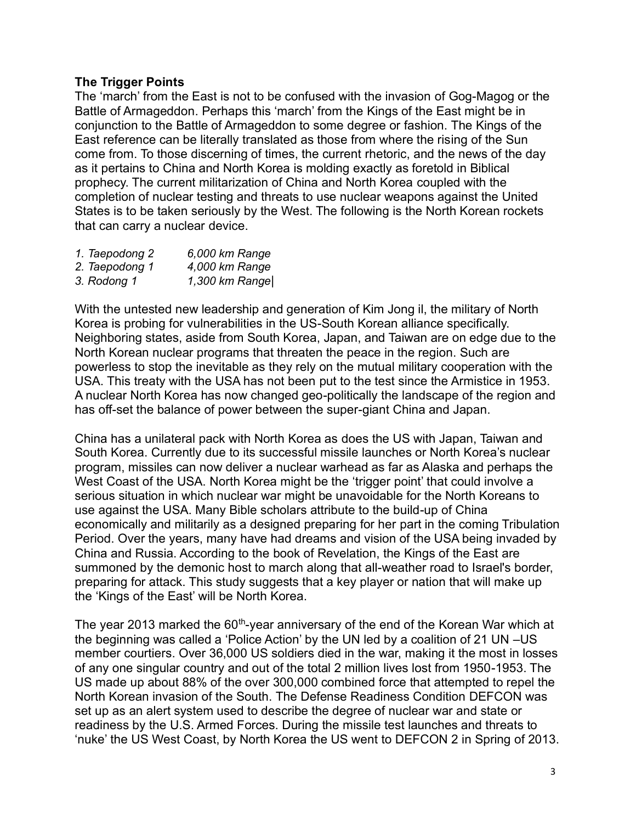# **The Trigger Points**

The 'march' from the East is not to be confused with the invasion of Gog-Magog or the Battle of Armageddon. Perhaps this 'march' from the Kings of the East might be in conjunction to the Battle of Armageddon to some degree or fashion. The Kings of the East reference can be literally translated as those from where the rising of the Sun come from. To those discerning of times, the current rhetoric, and the news of the day as it pertains to China and North Korea is molding exactly as foretold in Biblical prophecy. The current militarization of China and North Korea coupled with the completion of nuclear testing and threats to use nuclear weapons against the United States is to be taken seriously by the West. The following is the North Korean rockets that can carry a nuclear device.

| 1. Taepodong 2 | 6,000 km Range |
|----------------|----------------|
| 2. Taepodong 1 | 4,000 km Range |
| 3. Rodong 1    | 1,300 km Range |

With the untested new leadership and generation of Kim Jong il, the military of North Korea is probing for vulnerabilities in the US-South Korean alliance specifically. Neighboring states, aside from South Korea, Japan, and Taiwan are on edge due to the North Korean nuclear programs that threaten the peace in the region. Such are powerless to stop the inevitable as they rely on the mutual military cooperation with the USA. This treaty with the USA has not been put to the test since the Armistice in 1953. A nuclear North Korea has now changed geo-politically the landscape of the region and has off-set the balance of power between the super-giant China and Japan.

China has a unilateral pack with North Korea as does the US with Japan, Taiwan and South Korea. Currently due to its successful missile launches or North Korea's nuclear program, missiles can now deliver a nuclear warhead as far as Alaska and perhaps the West Coast of the USA. North Korea might be the 'trigger point' that could involve a serious situation in which nuclear war might be unavoidable for the North Koreans to use against the USA. Many Bible scholars attribute to the build-up of China economically and militarily as a designed preparing for her part in the coming Tribulation Period. Over the years, many have had dreams and vision of the USA being invaded by China and Russia. According to the book of Revelation, the Kings of the East are summoned by the demonic host to march along that all-weather road to Israel's border, preparing for attack. This study suggests that a key player or nation that will make up the 'Kings of the East' will be North Korea.

The year 2013 marked the 60<sup>th</sup>-year anniversary of the end of the Korean War which at the beginning was called a 'Police Action' by the UN led by a coalition of 21 UN –US member courtiers. Over 36,000 US soldiers died in the war, making it the most in losses of any one singular country and out of the total 2 million lives lost from 1950-1953. The US made up about 88% of the over 300,000 combined force that attempted to repel the North Korean invasion of the South. The Defense Readiness Condition DEFCON was set up as an alert system used to describe the degree of nuclear war and state or readiness by the U.S. Armed Forces. During the missile test launches and threats to 'nuke' the US West Coast, by North Korea the US went to DEFCON 2 in Spring of 2013.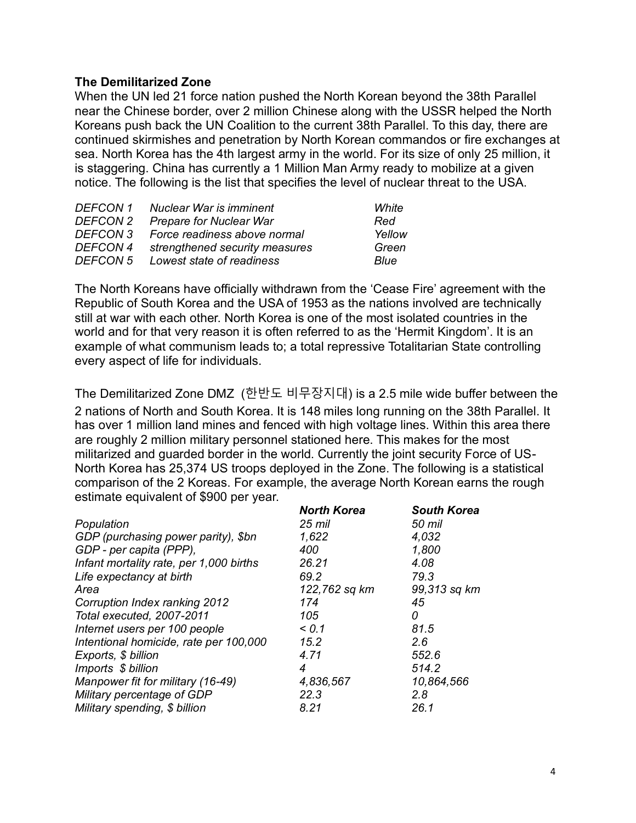### **The Demilitarized Zone**

When the UN led 21 force nation pushed the North Korean beyond the 38th Parallel near the Chinese border, over 2 million Chinese along with the USSR helped the North Koreans push back the UN Coalition to the current 38th Parallel. To this day, there are continued skirmishes and penetration by North Korean commandos or fire exchanges at sea. North Korea has the 4th largest army in the world. For its size of only 25 million, it is staggering. China has currently a 1 Million Man Army ready to mobilize at a given notice. The following is the list that specifies the level of nuclear threat to the USA.

| <b>DEFCON 1</b> | Nuclear War is imminent        | White       |
|-----------------|--------------------------------|-------------|
| <b>DEFCON 2</b> | <b>Prepare for Nuclear War</b> | Red         |
| <b>DEFCON 3</b> | Force readiness above normal   | Yellow      |
| <b>DEFCON 4</b> | strengthened security measures | Green       |
| <b>DEFCON 5</b> | Lowest state of readiness      | <i>Blue</i> |

The North Koreans have officially withdrawn from the 'Cease Fire' agreement with the Republic of South Korea and the USA of 1953 as the nations involved are technically still at war with each other. North Korea is one of the most isolated countries in the world and for that very reason it is often referred to as the 'Hermit Kingdom'. It is an example of what communism leads to; a total repressive Totalitarian State controlling every aspect of life for individuals.

The Demilitarized Zone DMZ (한반도 비무장지대) is a 2.5 mile wide buffer between the 2 nations of North and South Korea. It is 148 miles long running on the 38th Parallel. It has over 1 million land mines and fenced with high voltage lines. Within this area there are roughly 2 million military personnel stationed here. This makes for the most militarized and guarded border in the world. Currently the joint security Force of US-North Korea has 25,374 US troops deployed in the Zone. The following is a statistical comparison of the 2 Koreas. For example, the average North Korean earns the rough estimate equivalent of \$900 per year.

|                                         | <b>North Korea</b> | <b>South Korea</b> |
|-----------------------------------------|--------------------|--------------------|
| Population                              | 25 mil             | 50 mil             |
| GDP (purchasing power parity), \$bn     | 1,622              | 4,032              |
| GDP - per capita (PPP),                 | 400                | 1,800              |
| Infant mortality rate, per 1,000 births | 26.21              | 4.08               |
| Life expectancy at birth                | 69.2               | 79.3               |
| Area                                    | 122,762 sq km      | 99,313 sq km       |
| Corruption Index ranking 2012           | 174                | 45                 |
| Total executed, 2007-2011               | 105                | 0                  |
| Internet users per 100 people           | 0.1                | 81.5               |
| Intentional homicide, rate per 100,000  | 15.2               | 2.6                |
| Exports, \$ billion                     | 4.71               | 552.6              |
| Imports \$ billion                      | 4                  | 514.2              |
| Manpower fit for military (16-49)       | 4,836,567          | 10,864,566         |
| Military percentage of GDP              | 22.3               | 2.8                |
| Military spending, \$ billion           | 8.21               | 26.1               |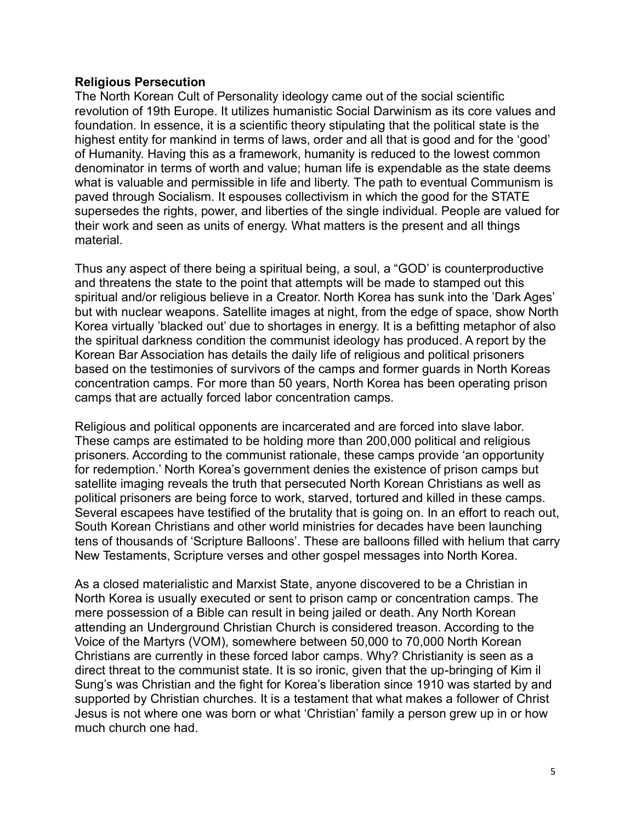#### **Religious Persecution**

The North Korean Cult of Personality ideology came out of the social scientific revolution of 19th Europe. It utilizes humanistic Social Darwinism as its core values and foundation. In essence, it is a scientific theory stipulating that the political state is the highest entity for mankind in terms of laws, order and all that is good and for the 'good' of Humanity. Having this as a framework, humanity is reduced to the lowest common denominator in terms of worth and value; human life is expendable as the state deems what is valuable and permissible in life and liberty. The path to eventual Communism is paved through Socialism. It espouses collectivism in which the good for the STATE supersedes the rights, power, and liberties of the single individual. People are valued for their work and seen as units of energy. What matters is the present and all things material.

Thus any aspect of there being a spiritual being, a soul, a "GOD' is counterproductive and threatens the state to the point that attempts will be made to stamped out this spiritual and/or religious believe in a Creator. North Korea has sunk into the 'Dark Ages' but with nuclear weapons. Satellite images at night, from the edge of space, show North Korea virtually 'blacked out' due to shortages in energy. It is a befitting metaphor of also the spiritual darkness condition the communist ideology has produced. A report by the Korean Bar Association has details the daily life of religious and political prisoners based on the testimonies of survivors of the camps and former guards in North Koreas concentration camps. For more than 50 years, North Korea has been operating prison camps that are actually forced labor concentration camps.

Religious and political opponents are incarcerated and are forced into slave labor. These camps are estimated to be holding more than 200,000 political and religious prisoners. According to the communist rationale, these camps provide 'an opportunity for redemption.' North Korea's government denies the existence of prison camps but satellite imaging reveals the truth that persecuted North Korean Christians as well as political prisoners are being force to work, starved, tortured and killed in these camps. Several escapees have testified of the brutality that is going on. In an effort to reach out, South Korean Christians and other world ministries for decades have been launching tens of thousands of 'Scripture Balloons'. These are balloons filled with helium that carry New Testaments, Scripture verses and other gospel messages into North Korea.

As a closed materialistic and Marxist State, anyone discovered to be a Christian in North Korea is usually executed or sent to prison camp or concentration camps. The mere possession of a Bible can result in being jailed or death. Any North Korean attending an Underground Christian Church is considered treason. According to the Voice of the Martyrs (VOM), somewhere between 50,000 to 70,000 North Korean Christians are currently in these forced labor camps. Why? Christianity is seen as a direct threat to the communist state. It is so ironic, given that the up-bringing of Kim il Sung's was Christian and the fight for Korea's liberation since 1910 was started by and supported by Christian churches. It is a testament that what makes a follower of Christ Jesus is not where one was born or what 'Christian' family a person grew up in or how much church one had.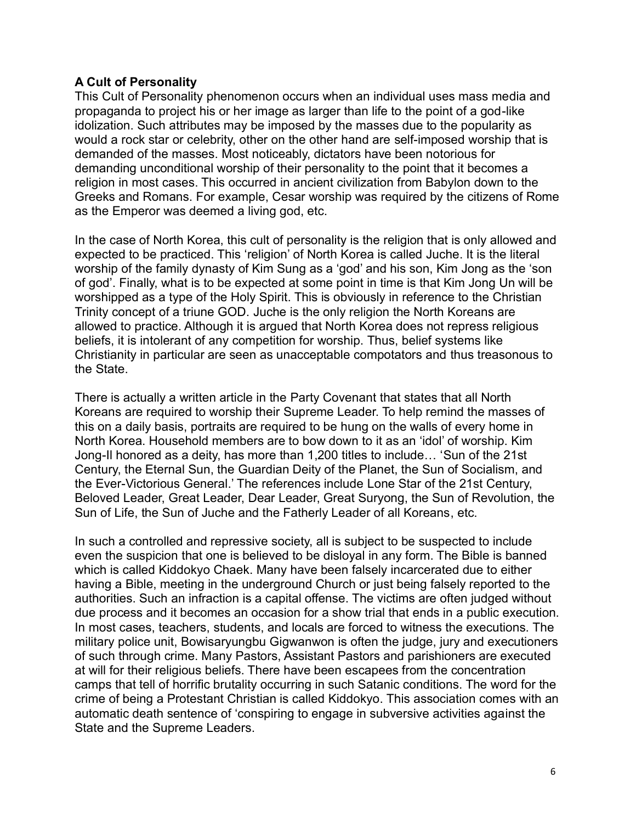## **A Cult of Personality**

This Cult of Personality phenomenon occurs when an individual uses mass media and propaganda to project his or her image as larger than life to the point of a god-like idolization. Such attributes may be imposed by the masses due to the popularity as would a rock star or celebrity, other on the other hand are self-imposed worship that is demanded of the masses. Most noticeably, dictators have been notorious for demanding unconditional worship of their personality to the point that it becomes a religion in most cases. This occurred in ancient civilization from Babylon down to the Greeks and Romans. For example, Cesar worship was required by the citizens of Rome as the Emperor was deemed a living god, etc.

In the case of North Korea, this cult of personality is the religion that is only allowed and expected to be practiced. This 'religion' of North Korea is called Juche. It is the literal worship of the family dynasty of Kim Sung as a 'god' and his son, Kim Jong as the 'son of god'. Finally, what is to be expected at some point in time is that Kim Jong Un will be worshipped as a type of the Holy Spirit. This is obviously in reference to the Christian Trinity concept of a triune GOD. Juche is the only religion the North Koreans are allowed to practice. Although it is argued that North Korea does not repress religious beliefs, it is intolerant of any competition for worship. Thus, belief systems like Christianity in particular are seen as unacceptable compotators and thus treasonous to the State.

There is actually a written article in the Party Covenant that states that all North Koreans are required to worship their Supreme Leader. To help remind the masses of this on a daily basis, portraits are required to be hung on the walls of every home in North Korea. Household members are to bow down to it as an 'idol' of worship. Kim Jong-Il honored as a deity, has more than 1,200 titles to include… 'Sun of the 21st Century, the Eternal Sun, the Guardian Deity of the Planet, the Sun of Socialism, and the Ever-Victorious General.' The references include Lone Star of the 21st Century, Beloved Leader, Great Leader, Dear Leader, Great Suryong, the Sun of Revolution, the Sun of Life, the Sun of Juche and the Fatherly Leader of all Koreans, etc.

In such a controlled and repressive society, all is subject to be suspected to include even the suspicion that one is believed to be disloyal in any form. The Bible is banned which is called Kiddokyo Chaek. Many have been falsely incarcerated due to either having a Bible, meeting in the underground Church or just being falsely reported to the authorities. Such an infraction is a capital offense. The victims are often judged without due process and it becomes an occasion for a show trial that ends in a public execution. In most cases, teachers, students, and locals are forced to witness the executions. The military police unit, Bowisaryungbu Gigwanwon is often the judge, jury and executioners of such through crime. Many Pastors, Assistant Pastors and parishioners are executed at will for their religious beliefs. There have been escapees from the concentration camps that tell of horrific brutality occurring in such Satanic conditions. The word for the crime of being a Protestant Christian is called Kiddokyo. This association comes with an automatic death sentence of 'conspiring to engage in subversive activities against the State and the Supreme Leaders.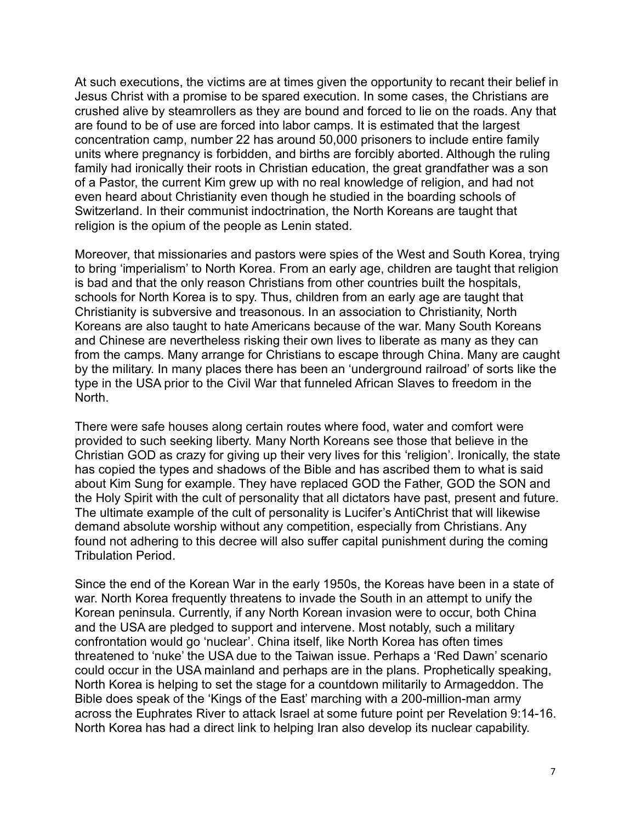At such executions, the victims are at times given the opportunity to recant their belief in Jesus Christ with a promise to be spared execution. In some cases, the Christians are crushed alive by steamrollers as they are bound and forced to lie on the roads. Any that are found to be of use are forced into labor camps. It is estimated that the largest concentration camp, number 22 has around 50,000 prisoners to include entire family units where pregnancy is forbidden, and births are forcibly aborted. Although the ruling family had ironically their roots in Christian education, the great grandfather was a son of a Pastor, the current Kim grew up with no real knowledge of religion, and had not even heard about Christianity even though he studied in the boarding schools of Switzerland. In their communist indoctrination, the North Koreans are taught that religion is the opium of the people as Lenin stated.

Moreover, that missionaries and pastors were spies of the West and South Korea, trying to bring 'imperialism' to North Korea. From an early age, children are taught that religion is bad and that the only reason Christians from other countries built the hospitals, schools for North Korea is to spy. Thus, children from an early age are taught that Christianity is subversive and treasonous. In an association to Christianity, North Koreans are also taught to hate Americans because of the war. Many South Koreans and Chinese are nevertheless risking their own lives to liberate as many as they can from the camps. Many arrange for Christians to escape through China. Many are caught by the military. In many places there has been an 'underground railroad' of sorts like the type in the USA prior to the Civil War that funneled African Slaves to freedom in the North.

There were safe houses along certain routes where food, water and comfort were provided to such seeking liberty. Many North Koreans see those that believe in the Christian GOD as crazy for giving up their very lives for this 'religion'. Ironically, the state has copied the types and shadows of the Bible and has ascribed them to what is said about Kim Sung for example. They have replaced GOD the Father, GOD the SON and the Holy Spirit with the cult of personality that all dictators have past, present and future. The ultimate example of the cult of personality is Lucifer's AntiChrist that will likewise demand absolute worship without any competition, especially from Christians. Any found not adhering to this decree will also suffer capital punishment during the coming Tribulation Period.

Since the end of the Korean War in the early 1950s, the Koreas have been in a state of war. North Korea frequently threatens to invade the South in an attempt to unify the Korean peninsula. Currently, if any North Korean invasion were to occur, both China and the USA are pledged to support and intervene. Most notably, such a military confrontation would go 'nuclear'. China itself, like North Korea has often times threatened to 'nuke' the USA due to the Taiwan issue. Perhaps a 'Red Dawn' scenario could occur in the USA mainland and perhaps are in the plans. Prophetically speaking, North Korea is helping to set the stage for a countdown militarily to Armageddon. The Bible does speak of the 'Kings of the East' marching with a 200-million-man army across the Euphrates River to attack Israel at some future point per Revelation 9:14-16. North Korea has had a direct link to helping Iran also develop its nuclear capability.